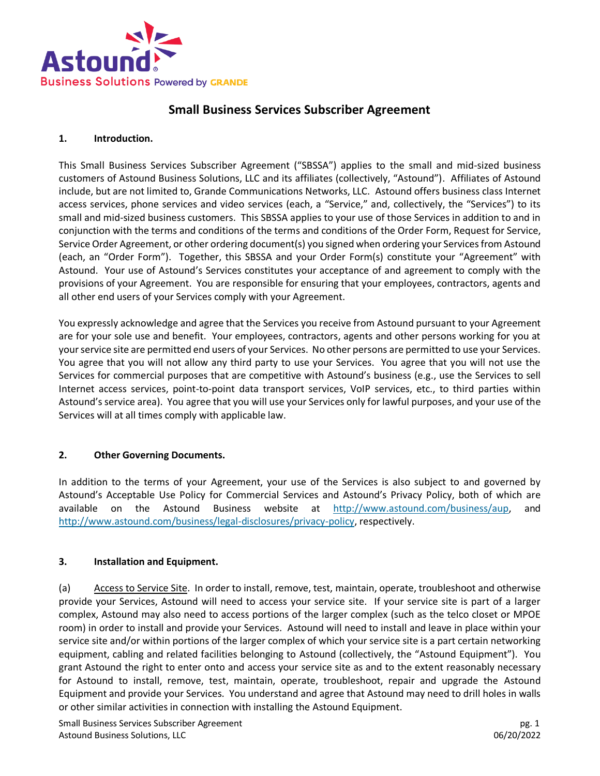

# **Small Business Services Subscriber Agreement**

#### **1. Introduction.**

This Small Business Services Subscriber Agreement ("SBSSA") applies to the small and mid-sized business customers of Astound Business Solutions, LLC and its affiliates (collectively, "Astound"). Affiliates of Astound include, but are not limited to, Grande Communications Networks, LLC. Astound offers business class Internet access services, phone services and video services (each, a "Service," and, collectively, the "Services") to its small and mid-sized business customers. This SBSSA applies to your use of those Services in addition to and in conjunction with the terms and conditions of the terms and conditions of the Order Form, Request for Service, Service Order Agreement, or other ordering document(s) you signed when ordering your Services from Astound (each, an "Order Form"). Together, this SBSSA and your Order Form(s) constitute your "Agreement" with Astound. Your use of Astound's Services constitutes your acceptance of and agreement to comply with the provisions of your Agreement. You are responsible for ensuring that your employees, contractors, agents and all other end users of your Services comply with your Agreement.

You expressly acknowledge and agree that the Services you receive from Astound pursuant to your Agreement are for your sole use and benefit. Your employees, contractors, agents and other persons working for you at your service site are permitted end users of your Services. No other persons are permitted to use your Services. You agree that you will not allow any third party to use your Services. You agree that you will not use the Services for commercial purposes that are competitive with Astound's business (e.g., use the Services to sell Internet access services, point-to-point data transport services, VoIP services, etc., to third parties within Astound's service area). You agree that you will use your Services only for lawful purposes, and your use of the Services will at all times comply with applicable law.

#### **2. Other Governing Documents.**

In addition to the terms of your Agreement, your use of the Services is also subject to and governed by Astound's Acceptable Use Policy for Commercial Services and Astound's Privacy Policy, both of which are available on the Astound Business website at [http://www.astound.com/business/aup,](http://www.astound.com/business/aup) and [http://www.astound.com/business/legal-disclosures/privacy-policy,](http://www.astound.com/business/legal-disclosures/privacy-policy) respectively.

#### **3. Installation and Equipment.**

(a) Access to Service Site. In order to install, remove, test, maintain, operate, troubleshoot and otherwise provide your Services, Astound will need to access your service site. If your service site is part of a larger complex, Astound may also need to access portions of the larger complex (such as the telco closet or MPOE room) in order to install and provide your Services. Astound will need to install and leave in place within your service site and/or within portions of the larger complex of which your service site is a part certain networking equipment, cabling and related facilities belonging to Astound (collectively, the "Astound Equipment"). You grant Astound the right to enter onto and access your service site as and to the extent reasonably necessary for Astound to install, remove, test, maintain, operate, troubleshoot, repair and upgrade the Astound Equipment and provide your Services. You understand and agree that Astound may need to drill holes in walls or other similar activities in connection with installing the Astound Equipment.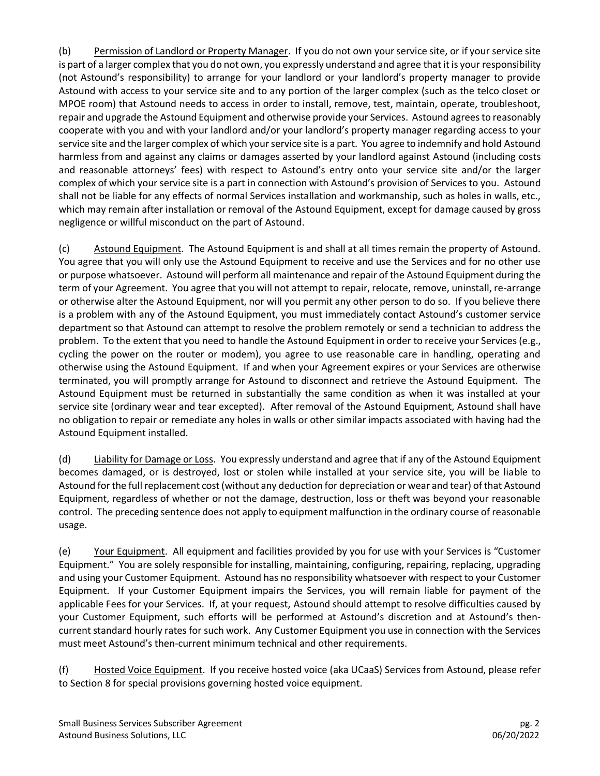(b) Permission of Landlord or Property Manager. If you do not own your service site, or if your service site is part of a larger complex that you do not own, you expressly understand and agree that it is your responsibility (not Astound's responsibility) to arrange for your landlord or your landlord's property manager to provide Astound with access to your service site and to any portion of the larger complex (such as the telco closet or MPOE room) that Astound needs to access in order to install, remove, test, maintain, operate, troubleshoot, repair and upgrade the Astound Equipment and otherwise provide your Services. Astound agrees to reasonably cooperate with you and with your landlord and/or your landlord's property manager regarding access to your service site and the larger complex of which your service site is a part. You agree to indemnify and hold Astound harmless from and against any claims or damages asserted by your landlord against Astound (including costs and reasonable attorneys' fees) with respect to Astound's entry onto your service site and/or the larger complex of which your service site is a part in connection with Astound's provision of Services to you. Astound shall not be liable for any effects of normal Services installation and workmanship, such as holes in walls, etc., which may remain after installation or removal of the Astound Equipment, except for damage caused by gross negligence or willful misconduct on the part of Astound.

(c) Astound Equipment. The Astound Equipment is and shall at all times remain the property of Astound. You agree that you will only use the Astound Equipment to receive and use the Services and for no other use or purpose whatsoever. Astound will perform all maintenance and repair of the Astound Equipment during the term of your Agreement. You agree that you will not attempt to repair, relocate, remove, uninstall, re-arrange or otherwise alter the Astound Equipment, nor will you permit any other person to do so. If you believe there is a problem with any of the Astound Equipment, you must immediately contact Astound's customer service department so that Astound can attempt to resolve the problem remotely or send a technician to address the problem. To the extent that you need to handle the Astound Equipment in order to receive your Services (e.g., cycling the power on the router or modem), you agree to use reasonable care in handling, operating and otherwise using the Astound Equipment. If and when your Agreement expires or your Services are otherwise terminated, you will promptly arrange for Astound to disconnect and retrieve the Astound Equipment. The Astound Equipment must be returned in substantially the same condition as when it was installed at your service site (ordinary wear and tear excepted). After removal of the Astound Equipment, Astound shall have no obligation to repair or remediate any holes in walls or other similar impacts associated with having had the Astound Equipment installed.

(d) Liability for Damage or Loss. You expressly understand and agree that if any of the Astound Equipment becomes damaged, or is destroyed, lost or stolen while installed at your service site, you will be liable to Astound for the full replacement cost (without any deduction for depreciation or wear and tear) of that Astound Equipment, regardless of whether or not the damage, destruction, loss or theft was beyond your reasonable control. The preceding sentence does not apply to equipment malfunction in the ordinary course of reasonable usage.

(e) Your Equipment. All equipment and facilities provided by you for use with your Services is "Customer Equipment." You are solely responsible for installing, maintaining, configuring, repairing, replacing, upgrading and using your Customer Equipment. Astound has no responsibility whatsoever with respect to your Customer Equipment. If your Customer Equipment impairs the Services, you will remain liable for payment of the applicable Fees for your Services. If, at your request, Astound should attempt to resolve difficulties caused by your Customer Equipment, such efforts will be performed at Astound's discretion and at Astound's thencurrent standard hourly rates for such work. Any Customer Equipment you use in connection with the Services must meet Astound's then-current minimum technical and other requirements.

(f) Hosted Voice Equipment. If you receive hosted voice (aka UCaaS) Services from Astound, please refer to Section 8 for special provisions governing hosted voice equipment.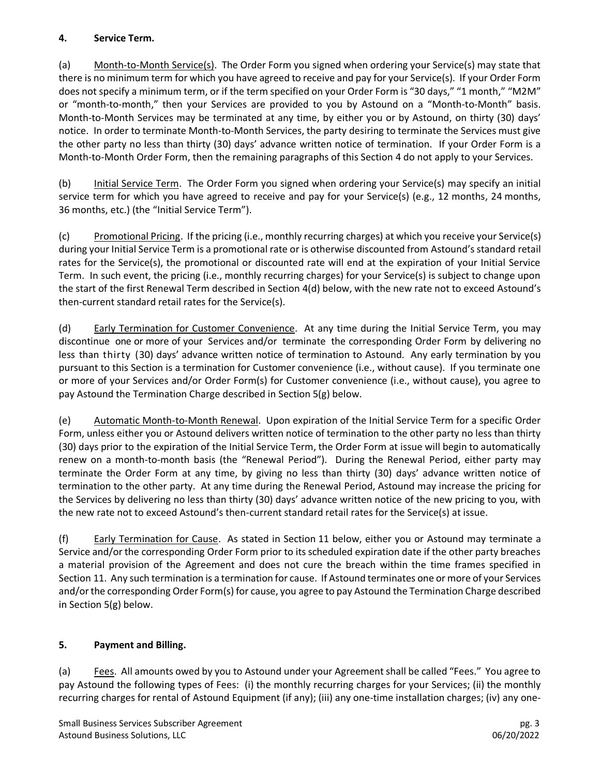#### **4. Service Term.**

(a) Month-to-Month Service(s). The Order Form you signed when ordering your Service(s) may state that there is no minimum term for which you have agreed to receive and pay for your Service(s). If your Order Form does not specify a minimum term, or if the term specified on your Order Form is "30 days," "1 month," "M2M" or "month-to-month," then your Services are provided to you by Astound on a "Month-to-Month" basis. Month-to-Month Services may be terminated at any time, by either you or by Astound, on thirty (30) days' notice. In order to terminate Month-to-Month Services, the party desiring to terminate the Services must give the other party no less than thirty (30) days' advance written notice of termination. If your Order Form is a Month-to-Month Order Form, then the remaining paragraphs of this Section 4 do not apply to your Services.

(b) Initial Service Term. The Order Form you signed when ordering your Service(s) may specify an initial service term for which you have agreed to receive and pay for your Service(s) (e.g., 12 months, 24 months, 36 months, etc.) (the "Initial Service Term").

(c) Promotional Pricing. If the pricing (i.e., monthly recurring charges) at which you receive your Service(s) during your Initial Service Term is a promotional rate or is otherwise discounted from Astound's standard retail rates for the Service(s), the promotional or discounted rate will end at the expiration of your Initial Service Term. In such event, the pricing (i.e., monthly recurring charges) for your Service(s) is subject to change upon the start of the first Renewal Term described in Section 4(d) below, with the new rate not to exceed Astound's then-current standard retail rates for the Service(s).

(d) Early Termination for Customer Convenience. At any time during the Initial Service Term, you may discontinue one or more of your Services and/or terminate the corresponding Order Form by delivering no less than thirty (30) days' advance written notice of termination to Astound. Any early termination by you pursuant to this Section is a termination for Customer convenience (i.e., without cause). If you terminate one or more of your Services and/or Order Form(s) for Customer convenience (i.e., without cause), you agree to pay Astound the Termination Charge described in Section 5(g) below.

(e) Automatic Month-to-Month Renewal. Upon expiration of the Initial Service Term for a specific Order Form, unless either you or Astound delivers written notice of termination to the other party no less than thirty (30) days prior to the expiration of the Initial Service Term, the Order Form at issue will begin to automatically renew on a month-to-month basis (the "Renewal Period"). During the Renewal Period, either party may terminate the Order Form at any time, by giving no less than thirty (30) days' advance written notice of termination to the other party. At any time during the Renewal Period, Astound may increase the pricing for the Services by delivering no less than thirty (30) days' advance written notice of the new pricing to you, with the new rate not to exceed Astound's then-current standard retail rates for the Service(s) at issue.

(f) Early Termination for Cause. As stated in Section 11 below, either you or Astound may terminate a Service and/or the corresponding Order Form prior to its scheduled expiration date if the other party breaches a material provision of the Agreement and does not cure the breach within the time frames specified in Section 11. Any such termination is a termination for cause. If Astound terminates one or more of your Services and/or the corresponding Order Form(s) for cause, you agree to pay Astound the Termination Charge described in Section 5(g) below.

## **5. Payment and Billing.**

(a) Fees. All amounts owed by you to Astound under your Agreement shall be called "Fees." You agree to pay Astound the following types of Fees: (i) the monthly recurring charges for your Services; (ii) the monthly recurring charges for rental of Astound Equipment (if any); (iii) any one-time installation charges; (iv) any one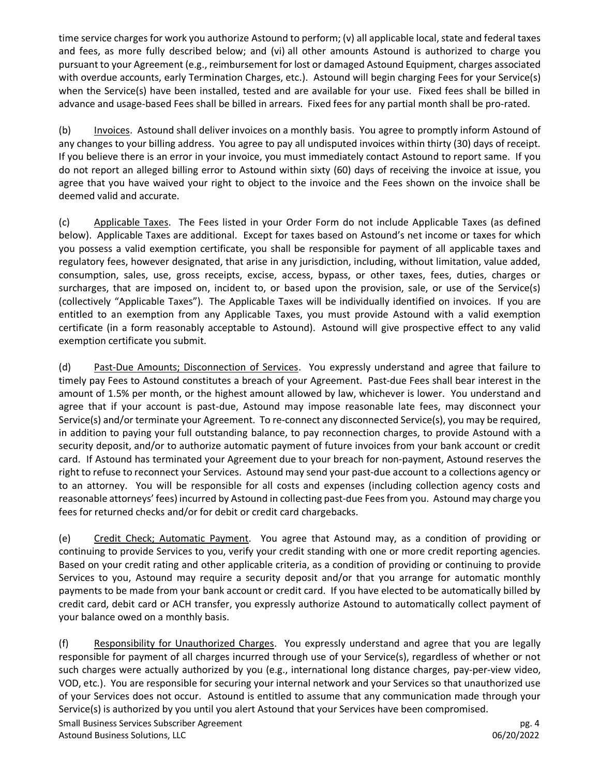time service charges for work you authorize Astound to perform; (v) all applicable local, state and federal taxes and fees, as more fully described below; and (vi) all other amounts Astound is authorized to charge you pursuant to your Agreement (e.g., reimbursement for lost or damaged Astound Equipment, charges associated with overdue accounts, early Termination Charges, etc.). Astound will begin charging Fees for your Service(s) when the Service(s) have been installed, tested and are available for your use. Fixed fees shall be billed in advance and usage-based Fees shall be billed in arrears. Fixed fees for any partial month shall be pro-rated.

(b) Invoices. Astound shall deliver invoices on a monthly basis. You agree to promptly inform Astound of any changes to your billing address. You agree to pay all undisputed invoices within thirty (30) days of receipt. If you believe there is an error in your invoice, you must immediately contact Astound to report same. If you do not report an alleged billing error to Astound within sixty (60) days of receiving the invoice at issue, you agree that you have waived your right to object to the invoice and the Fees shown on the invoice shall be deemed valid and accurate.

(c) Applicable Taxes. The Fees listed in your Order Form do not include Applicable Taxes (as defined below). Applicable Taxes are additional. Except for taxes based on Astound's net income or taxes for which you possess a valid exemption certificate, you shall be responsible for payment of all applicable taxes and regulatory fees, however designated, that arise in any jurisdiction, including, without limitation, value added, consumption, sales, use, gross receipts, excise, access, bypass, or other taxes, fees, duties, charges or surcharges, that are imposed on, incident to, or based upon the provision, sale, or use of the Service(s) (collectively "Applicable Taxes"). The Applicable Taxes will be individually identified on invoices. If you are entitled to an exemption from any Applicable Taxes, you must provide Astound with a valid exemption certificate (in a form reasonably acceptable to Astound). Astound will give prospective effect to any valid exemption certificate you submit.

(d) Past-Due Amounts; Disconnection of Services. You expressly understand and agree that failure to timely pay Fees to Astound constitutes a breach of your Agreement. Past-due Fees shall bear interest in the amount of 1.5% per month, or the highest amount allowed by law, whichever is lower. You understand and agree that if your account is past-due, Astound may impose reasonable late fees, may disconnect your Service(s) and/or terminate your Agreement. To re-connect any disconnected Service(s), you may be required, in addition to paying your full outstanding balance, to pay reconnection charges, to provide Astound with a security deposit, and/or to authorize automatic payment of future invoices from your bank account or credit card. If Astound has terminated your Agreement due to your breach for non-payment, Astound reserves the right to refuse to reconnect your Services. Astound may send your past-due account to a collections agency or to an attorney. You will be responsible for all costs and expenses (including collection agency costs and reasonable attorneys' fees) incurred by Astound in collecting past-due Fees from you. Astound may charge you fees for returned checks and/or for debit or credit card chargebacks.

(e) Credit Check; Automatic Payment. You agree that Astound may, as a condition of providing or continuing to provide Services to you, verify your credit standing with one or more credit reporting agencies. Based on your credit rating and other applicable criteria, as a condition of providing or continuing to provide Services to you, Astound may require a security deposit and/or that you arrange for automatic monthly payments to be made from your bank account or credit card. If you have elected to be automatically billed by credit card, debit card or ACH transfer, you expressly authorize Astound to automatically collect payment of your balance owed on a monthly basis.

Small Business Services Subscriber Agreement pg. 4 Astound Business Solutions, LLC 06/20/2022 (f) Responsibility for Unauthorized Charges. You expressly understand and agree that you are legally responsible for payment of all charges incurred through use of your Service(s), regardless of whether or not such charges were actually authorized by you (e.g., international long distance charges, pay-per-view video, VOD, etc.). You are responsible for securing your internal network and your Services so that unauthorized use of your Services does not occur. Astound is entitled to assume that any communication made through your Service(s) is authorized by you until you alert Astound that your Services have been compromised.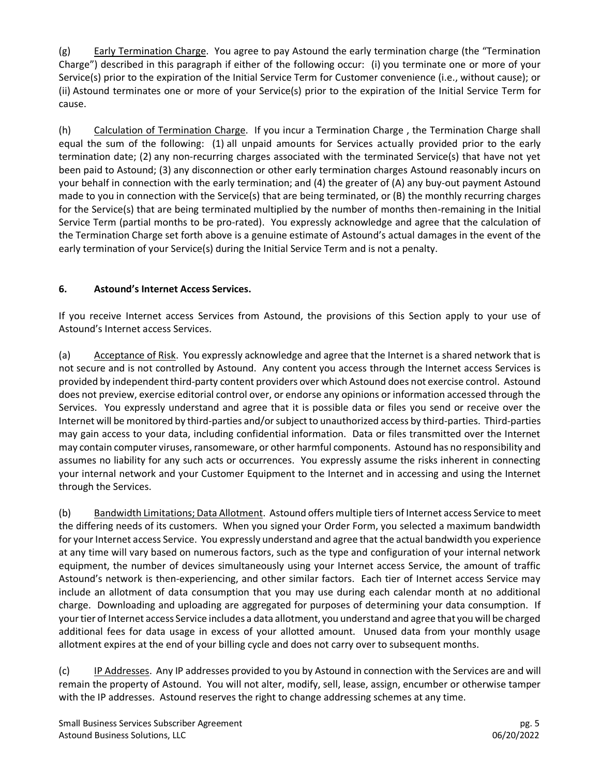(g) Early Termination Charge. You agree to pay Astound the early termination charge (the "Termination Charge") described in this paragraph if either of the following occur: (i) you terminate one or more of your Service(s) prior to the expiration of the Initial Service Term for Customer convenience (i.e., without cause); or (ii) Astound terminates one or more of your Service(s) prior to the expiration of the Initial Service Term for cause.

(h) Calculation of Termination Charge. If you incur a Termination Charge , the Termination Charge shall equal the sum of the following: (1) all unpaid amounts for Services actually provided prior to the early termination date; (2) any non-recurring charges associated with the terminated Service(s) that have not yet been paid to Astound; (3) any disconnection or other early termination charges Astound reasonably incurs on your behalf in connection with the early termination; and (4) the greater of (A) any buy-out payment Astound made to you in connection with the Service(s) that are being terminated, or (B) the monthly recurring charges for the Service(s) that are being terminated multiplied by the number of months then-remaining in the Initial Service Term (partial months to be pro-rated). You expressly acknowledge and agree that the calculation of the Termination Charge set forth above is a genuine estimate of Astound's actual damages in the event of the early termination of your Service(s) during the Initial Service Term and is not a penalty.

## **6. Astound's Internet Access Services.**

If you receive Internet access Services from Astound, the provisions of this Section apply to your use of Astound's Internet access Services.

(a) Acceptance of Risk. You expressly acknowledge and agree that the Internet is a shared network that is not secure and is not controlled by Astound. Any content you access through the Internet access Services is provided by independent third-party content providers over which Astound does not exercise control. Astound does not preview, exercise editorial control over, or endorse any opinions or information accessed through the Services. You expressly understand and agree that it is possible data or files you send or receive over the Internet will be monitored by third-parties and/or subject to unauthorized access by third-parties. Third-parties may gain access to your data, including confidential information. Data or files transmitted over the Internet may contain computer viruses, ransomeware, or other harmful components. Astound has no responsibility and assumes no liability for any such acts or occurrences. You expressly assume the risks inherent in connecting your internal network and your Customer Equipment to the Internet and in accessing and using the Internet through the Services.

(b) Bandwidth Limitations; Data Allotment. Astound offers multiple tiers of Internet access Service to meet the differing needs of its customers. When you signed your Order Form, you selected a maximum bandwidth for your Internet access Service. You expressly understand and agree that the actual bandwidth you experience at any time will vary based on numerous factors, such as the type and configuration of your internal network equipment, the number of devices simultaneously using your Internet access Service, the amount of traffic Astound's network is then-experiencing, and other similar factors. Each tier of Internet access Service may include an allotment of data consumption that you may use during each calendar month at no additional charge. Downloading and uploading are aggregated for purposes of determining your data consumption. If your tier of Internet access Service includes a data allotment, you understand and agree that you will be charged additional fees for data usage in excess of your allotted amount. Unused data from your monthly usage allotment expires at the end of your billing cycle and does not carry over to subsequent months.

(c) IP Addresses. Any IP addresses provided to you by Astound in connection with the Services are and will remain the property of Astound. You will not alter, modify, sell, lease, assign, encumber or otherwise tamper with the IP addresses. Astound reserves the right to change addressing schemes at any time.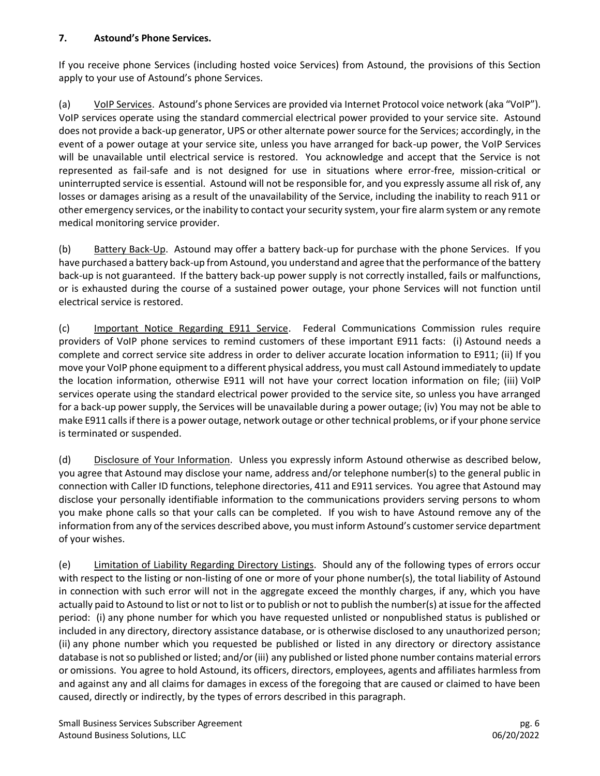#### **7. Astound's Phone Services.**

If you receive phone Services (including hosted voice Services) from Astound, the provisions of this Section apply to your use of Astound's phone Services.

(a) VoIP Services. Astound's phone Services are provided via Internet Protocol voice network (aka "VoIP"). VoIP services operate using the standard commercial electrical power provided to your service site. Astound does not provide a back-up generator, UPS or other alternate power source for the Services; accordingly, in the event of a power outage at your service site, unless you have arranged for back-up power, the VoIP Services will be unavailable until electrical service is restored. You acknowledge and accept that the Service is not represented as fail-safe and is not designed for use in situations where error-free, mission-critical or uninterrupted service is essential. Astound will not be responsible for, and you expressly assume all risk of, any losses or damages arising as a result of the unavailability of the Service, including the inability to reach 911 or other emergency services, or the inability to contact your security system, your fire alarm system or any remote medical monitoring service provider.

(b) Battery Back-Up. Astound may offer a battery back-up for purchase with the phone Services. If you have purchased a battery back-up from Astound, you understand and agree that the performance of the battery back-up is not guaranteed. If the battery back-up power supply is not correctly installed, fails or malfunctions, or is exhausted during the course of a sustained power outage, your phone Services will not function until electrical service is restored.

(c) Important Notice Regarding E911 Service. Federal Communications Commission rules require providers of VoIP phone services to remind customers of these important E911 facts: (i) Astound needs a complete and correct service site address in order to deliver accurate location information to E911; (ii) If you move your VoIP phone equipment to a different physical address, you must call Astound immediately to update the location information, otherwise E911 will not have your correct location information on file; (iii) VoIP services operate using the standard electrical power provided to the service site, so unless you have arranged for a back-up power supply, the Services will be unavailable during a power outage; (iv) You may not be able to make E911 calls if there is a power outage, network outage or other technical problems, or if your phone service is terminated or suspended.

(d) Disclosure of Your Information. Unless you expressly inform Astound otherwise as described below, you agree that Astound may disclose your name, address and/or telephone number(s) to the general public in connection with Caller ID functions, telephone directories, 411 and E911 services. You agree that Astound may disclose your personally identifiable information to the communications providers serving persons to whom you make phone calls so that your calls can be completed. If you wish to have Astound remove any of the information from any of the services described above, you must inform Astound's customer service department of your wishes.

(e) Limitation of Liability Regarding Directory Listings. Should any of the following types of errors occur with respect to the listing or non-listing of one or more of your phone number(s), the total liability of Astound in connection with such error will not in the aggregate exceed the monthly charges, if any, which you have actually paid to Astound to list or not to list or to publish or not to publish the number(s) at issue for the affected period: (i) any phone number for which you have requested unlisted or nonpublished status is published or included in any directory, directory assistance database, or is otherwise disclosed to any unauthorized person; (ii) any phone number which you requested be published or listed in any directory or directory assistance database is not so published or listed; and/or (iii) any published or listed phone number contains material errors or omissions. You agree to hold Astound, its officers, directors, employees, agents and affiliates harmless from and against any and all claims for damages in excess of the foregoing that are caused or claimed to have been caused, directly or indirectly, by the types of errors described in this paragraph.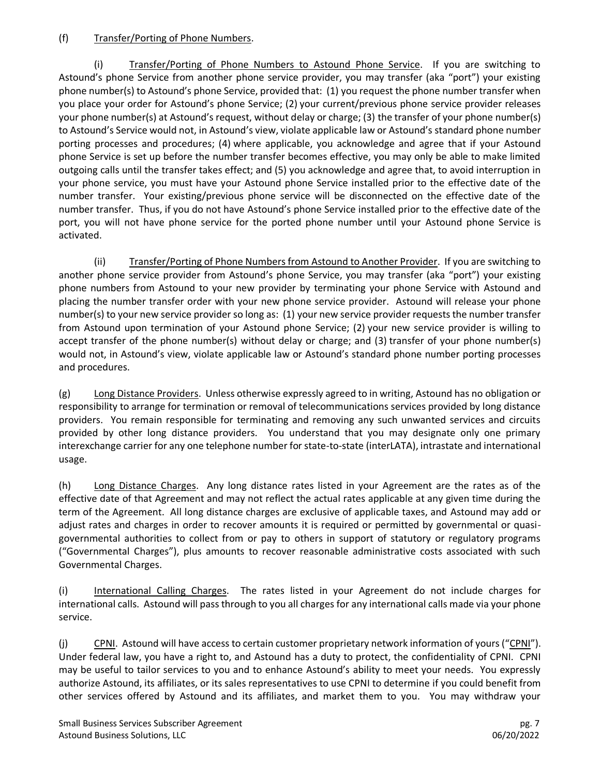#### (f) Transfer/Porting of Phone Numbers.

(i) Transfer/Porting of Phone Numbers to Astound Phone Service. If you are switching to Astound's phone Service from another phone service provider, you may transfer (aka "port") your existing phone number(s) to Astound's phone Service, provided that: (1) you request the phone number transfer when you place your order for Astound's phone Service; (2) your current/previous phone service provider releases your phone number(s) at Astound's request, without delay or charge; (3) the transfer of your phone number(s) to Astound's Service would not, in Astound's view, violate applicable law or Astound's standard phone number porting processes and procedures; (4) where applicable, you acknowledge and agree that if your Astound phone Service is set up before the number transfer becomes effective, you may only be able to make limited outgoing calls until the transfer takes effect; and (5) you acknowledge and agree that, to avoid interruption in your phone service, you must have your Astound phone Service installed prior to the effective date of the number transfer. Your existing/previous phone service will be disconnected on the effective date of the number transfer. Thus, if you do not have Astound's phone Service installed prior to the effective date of the port, you will not have phone service for the ported phone number until your Astound phone Service is activated.

(ii) Transfer/Porting of Phone Numbers from Astound to Another Provider. If you are switching to another phone service provider from Astound's phone Service, you may transfer (aka "port") your existing phone numbers from Astound to your new provider by terminating your phone Service with Astound and placing the number transfer order with your new phone service provider. Astound will release your phone number(s) to your new service provider so long as: (1) your new service provider requests the number transfer from Astound upon termination of your Astound phone Service; (2) your new service provider is willing to accept transfer of the phone number(s) without delay or charge; and (3) transfer of your phone number(s) would not, in Astound's view, violate applicable law or Astound's standard phone number porting processes and procedures.

(g) Long Distance Providers. Unless otherwise expressly agreed to in writing, Astound has no obligation or responsibility to arrange for termination or removal of telecommunications services provided by long distance providers. You remain responsible for terminating and removing any such unwanted services and circuits provided by other long distance providers. You understand that you may designate only one primary interexchange carrier for any one telephone number for state-to-state (interLATA), intrastate and international usage.

(h) Long Distance Charges. Any long distance rates listed in your Agreement are the rates as of the effective date of that Agreement and may not reflect the actual rates applicable at any given time during the term of the Agreement. All long distance charges are exclusive of applicable taxes, and Astound may add or adjust rates and charges in order to recover amounts it is required or permitted by governmental or quasigovernmental authorities to collect from or pay to others in support of statutory or regulatory programs ("Governmental Charges"), plus amounts to recover reasonable administrative costs associated with such Governmental Charges.

(i) International Calling Charges. The rates listed in your Agreement do not include charges for international calls. Astound will pass through to you all charges for any international calls made via your phone service.

(j) CPNI. Astound will have access to certain customer proprietary network information of yours ("CPNI"). Under federal law, you have a right to, and Astound has a duty to protect, the confidentiality of CPNI. CPNI may be useful to tailor services to you and to enhance Astound's ability to meet your needs. You expressly authorize Astound, its affiliates, or its sales representatives to use CPNI to determine if you could benefit from other services offered by Astound and its affiliates, and market them to you. You may withdraw your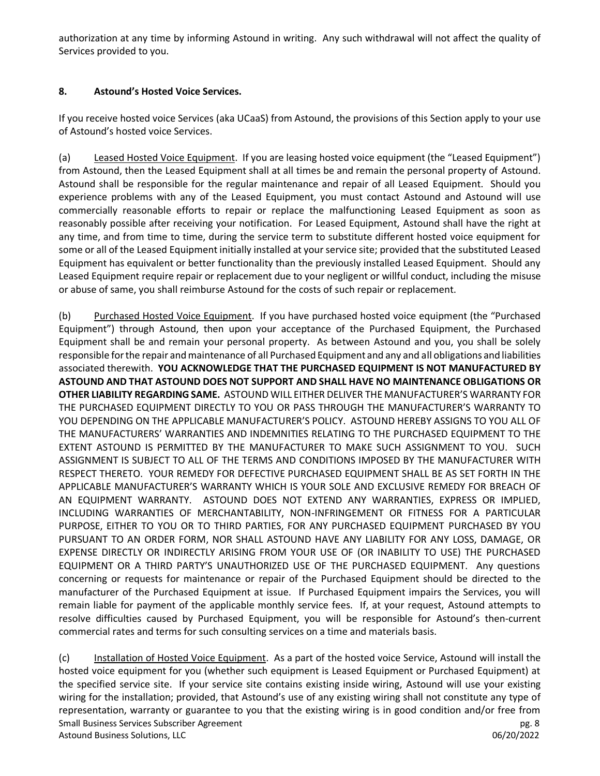authorization at any time by informing Astound in writing. Any such withdrawal will not affect the quality of Services provided to you.

#### **8. Astound's Hosted Voice Services.**

If you receive hosted voice Services (aka UCaaS) from Astound, the provisions of this Section apply to your use of Astound's hosted voice Services.

(a) Leased Hosted Voice Equipment. If you are leasing hosted voice equipment (the "Leased Equipment") from Astound, then the Leased Equipment shall at all times be and remain the personal property of Astound. Astound shall be responsible for the regular maintenance and repair of all Leased Equipment. Should you experience problems with any of the Leased Equipment, you must contact Astound and Astound will use commercially reasonable efforts to repair or replace the malfunctioning Leased Equipment as soon as reasonably possible after receiving your notification. For Leased Equipment, Astound shall have the right at any time, and from time to time, during the service term to substitute different hosted voice equipment for some or all of the Leased Equipment initially installed at your service site; provided that the substituted Leased Equipment has equivalent or better functionality than the previously installed Leased Equipment. Should any Leased Equipment require repair or replacement due to your negligent or willful conduct, including the misuse or abuse of same, you shall reimburse Astound for the costs of such repair or replacement.

(b) Purchased Hosted Voice Equipment. If you have purchased hosted voice equipment (the "Purchased Equipment") through Astound, then upon your acceptance of the Purchased Equipment, the Purchased Equipment shall be and remain your personal property. As between Astound and you, you shall be solely responsible for the repair and maintenance of all Purchased Equipment and any and all obligations and liabilities associated therewith. **YOU ACKNOWLEDGE THAT THE PURCHASED EQUIPMENT IS NOT MANUFACTURED BY ASTOUND AND THAT ASTOUND DOES NOT SUPPORT AND SHALL HAVE NO MAINTENANCE OBLIGATIONS OR OTHER LIABILITY REGARDING SAME.** ASTOUND WILL EITHER DELIVER THE MANUFACTURER'S WARRANTY FOR THE PURCHASED EQUIPMENT DIRECTLY TO YOU OR PASS THROUGH THE MANUFACTURER'S WARRANTY TO YOU DEPENDING ON THE APPLICABLE MANUFACTURER'S POLICY. ASTOUND HEREBY ASSIGNS TO YOU ALL OF THE MANUFACTURERS' WARRANTIES AND INDEMNITIES RELATING TO THE PURCHASED EQUIPMENT TO THE EXTENT ASTOUND IS PERMITTED BY THE MANUFACTURER TO MAKE SUCH ASSIGNMENT TO YOU. SUCH ASSIGNMENT IS SUBJECT TO ALL OF THE TERMS AND CONDITIONS IMPOSED BY THE MANUFACTURER WITH RESPECT THERETO. YOUR REMEDY FOR DEFECTIVE PURCHASED EQUIPMENT SHALL BE AS SET FORTH IN THE APPLICABLE MANUFACTURER'S WARRANTY WHICH IS YOUR SOLE AND EXCLUSIVE REMEDY FOR BREACH OF AN EQUIPMENT WARRANTY. ASTOUND DOES NOT EXTEND ANY WARRANTIES, EXPRESS OR IMPLIED, INCLUDING WARRANTIES OF MERCHANTABILITY, NON-INFRINGEMENT OR FITNESS FOR A PARTICULAR PURPOSE, EITHER TO YOU OR TO THIRD PARTIES, FOR ANY PURCHASED EQUIPMENT PURCHASED BY YOU PURSUANT TO AN ORDER FORM, NOR SHALL ASTOUND HAVE ANY LIABILITY FOR ANY LOSS, DAMAGE, OR EXPENSE DIRECTLY OR INDIRECTLY ARISING FROM YOUR USE OF (OR INABILITY TO USE) THE PURCHASED EQUIPMENT OR A THIRD PARTY'S UNAUTHORIZED USE OF THE PURCHASED EQUIPMENT. Any questions concerning or requests for maintenance or repair of the Purchased Equipment should be directed to the manufacturer of the Purchased Equipment at issue. If Purchased Equipment impairs the Services, you will remain liable for payment of the applicable monthly service fees. If, at your request, Astound attempts to resolve difficulties caused by Purchased Equipment, you will be responsible for Astound's then-current commercial rates and terms for such consulting services on a time and materials basis.

Small Business Services Subscriber Agreement pg. 8 and pg. 8 Astound Business Solutions, LLC 06/20/2022 (c) Installation of Hosted Voice Equipment. As a part of the hosted voice Service, Astound will install the hosted voice equipment for you (whether such equipment is Leased Equipment or Purchased Equipment) at the specified service site. If your service site contains existing inside wiring, Astound will use your existing wiring for the installation; provided, that Astound's use of any existing wiring shall not constitute any type of representation, warranty or guarantee to you that the existing wiring is in good condition and/or free from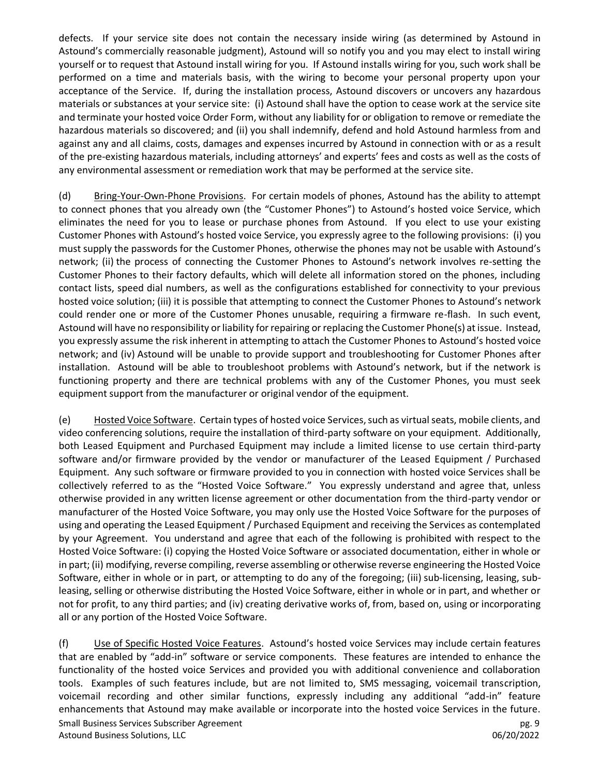defects. If your service site does not contain the necessary inside wiring (as determined by Astound in Astound's commercially reasonable judgment), Astound will so notify you and you may elect to install wiring yourself or to request that Astound install wiring for you. If Astound installs wiring for you, such work shall be performed on a time and materials basis, with the wiring to become your personal property upon your acceptance of the Service. If, during the installation process, Astound discovers or uncovers any hazardous materials or substances at your service site: (i) Astound shall have the option to cease work at the service site and terminate your hosted voice Order Form, without any liability for or obligation to remove or remediate the hazardous materials so discovered; and (ii) you shall indemnify, defend and hold Astound harmless from and against any and all claims, costs, damages and expenses incurred by Astound in connection with or as a result of the pre-existing hazardous materials, including attorneys' and experts' fees and costs as well as the costs of any environmental assessment or remediation work that may be performed at the service site.

(d) Bring-Your-Own-Phone Provisions. For certain models of phones, Astound has the ability to attempt to connect phones that you already own (the "Customer Phones") to Astound's hosted voice Service, which eliminates the need for you to lease or purchase phones from Astound. If you elect to use your existing Customer Phones with Astound's hosted voice Service, you expressly agree to the following provisions: (i) you must supply the passwords for the Customer Phones, otherwise the phones may not be usable with Astound's network; (ii) the process of connecting the Customer Phones to Astound's network involves re-setting the Customer Phones to their factory defaults, which will delete all information stored on the phones, including contact lists, speed dial numbers, as well as the configurations established for connectivity to your previous hosted voice solution; (iii) it is possible that attempting to connect the Customer Phones to Astound's network could render one or more of the Customer Phones unusable, requiring a firmware re-flash. In such event, Astound will have no responsibility or liability for repairing or replacing the Customer Phone(s) at issue. Instead, you expressly assume the risk inherent in attempting to attach the Customer Phones to Astound's hosted voice network; and (iv) Astound will be unable to provide support and troubleshooting for Customer Phones after installation. Astound will be able to troubleshoot problems with Astound's network, but if the network is functioning property and there are technical problems with any of the Customer Phones, you must seek equipment support from the manufacturer or original vendor of the equipment.

(e) Hosted Voice Software. Certain types of hosted voice Services, such as virtual seats, mobile clients, and video conferencing solutions, require the installation of third-party software on your equipment. Additionally, both Leased Equipment and Purchased Equipment may include a limited license to use certain third-party software and/or firmware provided by the vendor or manufacturer of the Leased Equipment / Purchased Equipment. Any such software or firmware provided to you in connection with hosted voice Services shall be collectively referred to as the "Hosted Voice Software." You expressly understand and agree that, unless otherwise provided in any written license agreement or other documentation from the third-party vendor or manufacturer of the Hosted Voice Software, you may only use the Hosted Voice Software for the purposes of using and operating the Leased Equipment / Purchased Equipment and receiving the Services as contemplated by your Agreement. You understand and agree that each of the following is prohibited with respect to the Hosted Voice Software: (i) copying the Hosted Voice Software or associated documentation, either in whole or in part; (ii) modifying, reverse compiling, reverse assembling or otherwise reverse engineering the Hosted Voice Software, either in whole or in part, or attempting to do any of the foregoing; (iii) sub-licensing, leasing, subleasing, selling or otherwise distributing the Hosted Voice Software, either in whole or in part, and whether or not for profit, to any third parties; and (iv) creating derivative works of, from, based on, using or incorporating all or any portion of the Hosted Voice Software.

Small Business Services Subscriber Agreement pg. 9 Astound Business Solutions, LLC 06/20/2022 (f) Use of Specific Hosted Voice Features. Astound's hosted voice Services may include certain features that are enabled by "add-in" software or service components. These features are intended to enhance the functionality of the hosted voice Services and provided you with additional convenience and collaboration tools. Examples of such features include, but are not limited to, SMS messaging, voicemail transcription, voicemail recording and other similar functions, expressly including any additional "add-in" feature enhancements that Astound may make available or incorporate into the hosted voice Services in the future.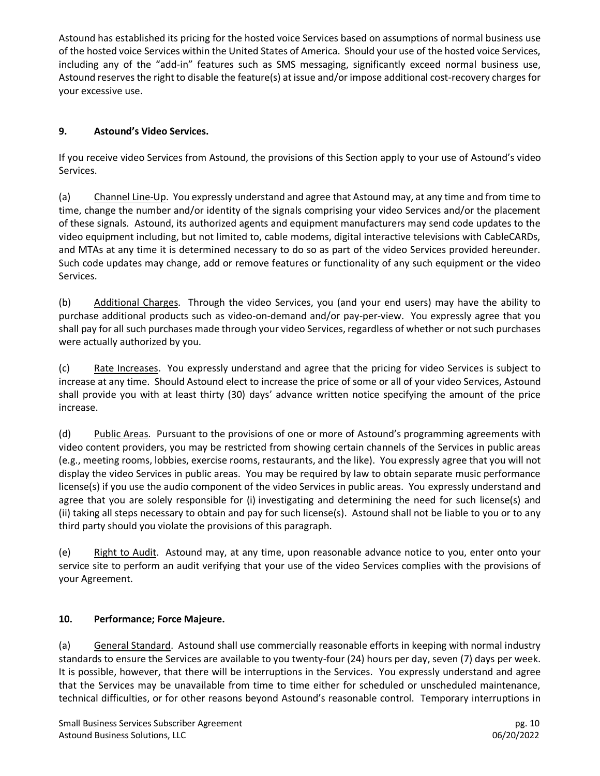Astound has established its pricing for the hosted voice Services based on assumptions of normal business use of the hosted voice Services within the United States of America. Should your use of the hosted voice Services, including any of the "add-in" features such as SMS messaging, significantly exceed normal business use, Astound reserves the right to disable the feature(s) at issue and/or impose additional cost-recovery charges for your excessive use.

### **9. Astound's Video Services.**

If you receive video Services from Astound, the provisions of this Section apply to your use of Astound's video Services.

(a) Channel Line-Up. You expressly understand and agree that Astound may, at any time and from time to time, change the number and/or identity of the signals comprising your video Services and/or the placement of these signals. Astound, its authorized agents and equipment manufacturers may send code updates to the video equipment including, but not limited to, cable modems, digital interactive televisions with CableCARDs, and MTAs at any time it is determined necessary to do so as part of the video Services provided hereunder. Such code updates may change, add or remove features or functionality of any such equipment or the video Services.

(b) Additional Charges. Through the video Services, you (and your end users) may have the ability to purchase additional products such as video-on-demand and/or pay-per-view. You expressly agree that you shall pay for all such purchases made through your video Services, regardless of whether or not such purchases were actually authorized by you.

(c) Rate Increases. You expressly understand and agree that the pricing for video Services is subject to increase at any time. Should Astound elect to increase the price of some or all of your video Services, Astound shall provide you with at least thirty (30) days' advance written notice specifying the amount of the price increase.

(d) Public Areas. Pursuant to the provisions of one or more of Astound's programming agreements with video content providers, you may be restricted from showing certain channels of the Services in public areas (e.g., meeting rooms, lobbies, exercise rooms, restaurants, and the like). You expressly agree that you will not display the video Services in public areas. You may be required by law to obtain separate music performance license(s) if you use the audio component of the video Services in public areas. You expressly understand and agree that you are solely responsible for (i) investigating and determining the need for such license(s) and (ii) taking all steps necessary to obtain and pay for such license(s). Astound shall not be liable to you or to any third party should you violate the provisions of this paragraph.

(e) Right to Audit. Astound may, at any time, upon reasonable advance notice to you, enter onto your service site to perform an audit verifying that your use of the video Services complies with the provisions of your Agreement.

#### **10. Performance; Force Majeure.**

(a) General Standard. Astound shall use commercially reasonable efforts in keeping with normal industry standards to ensure the Services are available to you twenty-four (24) hours per day, seven (7) days per week. It is possible, however, that there will be interruptions in the Services. You expressly understand and agree that the Services may be unavailable from time to time either for scheduled or unscheduled maintenance, technical difficulties, or for other reasons beyond Astound's reasonable control. Temporary interruptions in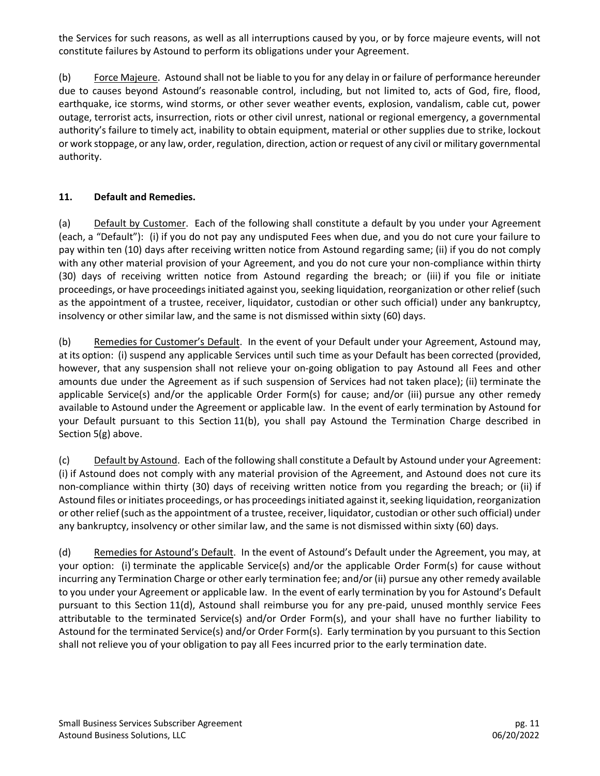the Services for such reasons, as well as all interruptions caused by you, or by force majeure events, will not constitute failures by Astound to perform its obligations under your Agreement.

(b) Force Majeure. Astound shall not be liable to you for any delay in or failure of performance hereunder due to causes beyond Astound's reasonable control, including, but not limited to, acts of God, fire, flood, earthquake, ice storms, wind storms, or other sever weather events, explosion, vandalism, cable cut, power outage, terrorist acts, insurrection, riots or other civil unrest, national or regional emergency, a governmental authority's failure to timely act, inability to obtain equipment, material or other supplies due to strike, lockout or work stoppage, or any law, order, regulation, direction, action or request of any civil or military governmental authority.

### **11. Default and Remedies.**

(a) Default by Customer. Each of the following shall constitute a default by you under your Agreement (each, a "Default"): (i) if you do not pay any undisputed Fees when due, and you do not cure your failure to pay within ten (10) days after receiving written notice from Astound regarding same; (ii) if you do not comply with any other material provision of your Agreement, and you do not cure your non-compliance within thirty (30) days of receiving written notice from Astound regarding the breach; or (iii) if you file or initiate proceedings, or have proceedings initiated against you, seeking liquidation, reorganization or other relief (such as the appointment of a trustee, receiver, liquidator, custodian or other such official) under any bankruptcy, insolvency or other similar law, and the same is not dismissed within sixty (60) days.

(b) Remedies for Customer's Default. In the event of your Default under your Agreement, Astound may, at its option: (i) suspend any applicable Services until such time as your Default has been corrected (provided, however, that any suspension shall not relieve your on-going obligation to pay Astound all Fees and other amounts due under the Agreement as if such suspension of Services had not taken place); (ii) terminate the applicable Service(s) and/or the applicable Order Form(s) for cause; and/or (iii) pursue any other remedy available to Astound under the Agreement or applicable law. In the event of early termination by Astound for your Default pursuant to this Section 11(b), you shall pay Astound the Termination Charge described in Section 5(g) above.

(c) Default by Astound. Each of the following shall constitute a Default by Astound under your Agreement: (i) if Astound does not comply with any material provision of the Agreement, and Astound does not cure its non-compliance within thirty (30) days of receiving written notice from you regarding the breach; or (ii) if Astound files or initiates proceedings, or has proceedings initiated against it, seeking liquidation, reorganization or other relief (such as the appointment of a trustee, receiver, liquidator, custodian or other such official) under any bankruptcy, insolvency or other similar law, and the same is not dismissed within sixty (60) days.

(d) Remedies for Astound's Default. In the event of Astound's Default under the Agreement, you may, at your option: (i) terminate the applicable Service(s) and/or the applicable Order Form(s) for cause without incurring any Termination Charge or other early termination fee; and/or (ii) pursue any other remedy available to you under your Agreement or applicable law. In the event of early termination by you for Astound's Default pursuant to this Section 11(d), Astound shall reimburse you for any pre-paid, unused monthly service Fees attributable to the terminated Service(s) and/or Order Form(s), and your shall have no further liability to Astound for the terminated Service(s) and/or Order Form(s). Early termination by you pursuant to this Section shall not relieve you of your obligation to pay all Fees incurred prior to the early termination date.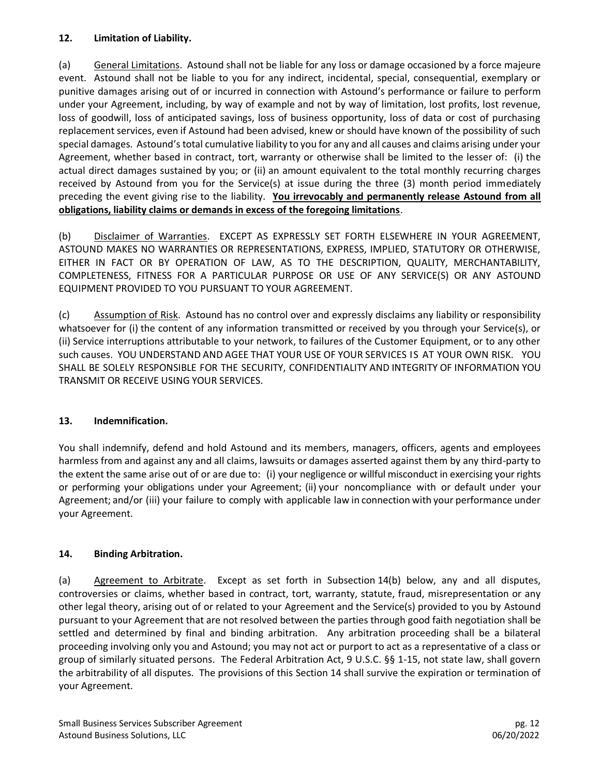#### **12. Limitation of Liability.**

(a) General Limitations. Astound shall not be liable for any loss or damage occasioned by a force majeure event. Astound shall not be liable to you for any indirect, incidental, special, consequential, exemplary or punitive damages arising out of or incurred in connection with Astound's performance or failure to perform under your Agreement, including, by way of example and not by way of limitation, lost profits, lost revenue, loss of goodwill, loss of anticipated savings, loss of business opportunity, loss of data or cost of purchasing replacement services, even if Astound had been advised, knew or should have known of the possibility of such special damages. Astound's total cumulative liability to you for any and all causes and claims arising under your Agreement, whether based in contract, tort, warranty or otherwise shall be limited to the lesser of: (i) the actual direct damages sustained by you; or (ii) an amount equivalent to the total monthly recurring charges received by Astound from you for the Service(s) at issue during the three (3) month period immediately preceding the event giving rise to the liability. **You irrevocably and permanently release Astound from all obligations, liability claims or demands in excess of the foregoing limitations**.

(b) Disclaimer of Warranties. EXCEPT AS EXPRESSLY SET FORTH ELSEWHERE IN YOUR AGREEMENT, ASTOUND MAKES NO WARRANTIES OR REPRESENTATIONS, EXPRESS, IMPLIED, STATUTORY OR OTHERWISE, EITHER IN FACT OR BY OPERATION OF LAW, AS TO THE DESCRIPTION, QUALITY, MERCHANTABILITY, COMPLETENESS, FITNESS FOR A PARTICULAR PURPOSE OR USE OF ANY SERVICE(S) OR ANY ASTOUND EQUIPMENT PROVIDED TO YOU PURSUANT TO YOUR AGREEMENT.

(c) Assumption of Risk. Astound has no control over and expressly disclaims any liability or responsibility whatsoever for (i) the content of any information transmitted or received by you through your Service(s), or (ii) Service interruptions attributable to your network, to failures of the Customer Equipment, or to any other such causes. YOU UNDERSTAND AND AGEE THAT YOUR USE OF YOUR SERVICES IS AT YOUR OWN RISK. YOU SHALL BE SOLELY RESPONSIBLE FOR THE SECURITY, CONFIDENTIALITY AND INTEGRITY OF INFORMATION YOU TRANSMIT OR RECEIVE USING YOUR SERVICES.

## **13. Indemnification.**

You shall indemnify, defend and hold Astound and its members, managers, officers, agents and employees harmless from and against any and all claims, lawsuits or damages asserted against them by any third-party to the extent the same arise out of or are due to: (i) your negligence or willful misconduct in exercising your rights or performing your obligations under your Agreement; (ii) your noncompliance with or default under your Agreement; and/or (iii) your failure to comply with applicable law in connection with your performance under your Agreement.

## **14. Binding Arbitration.**

(a) Agreement to Arbitrate. Except as set forth in Subsection 14(b) below, any and all disputes, controversies or claims, whether based in contract, tort, warranty, statute, fraud, misrepresentation or any other legal theory, arising out of or related to your Agreement and the Service(s) provided to you by Astound pursuant to your Agreement that are not resolved between the parties through good faith negotiation shall be settled and determined by final and binding arbitration. Any arbitration proceeding shall be a bilateral proceeding involving only you and Astound; you may not act or purport to act as a representative of a class or group of similarly situated persons. The Federal Arbitration Act, 9 U.S.C. §§ 1-15, not state law, shall govern the arbitrability of all disputes. The provisions of this Section 14 shall survive the expiration or termination of your Agreement.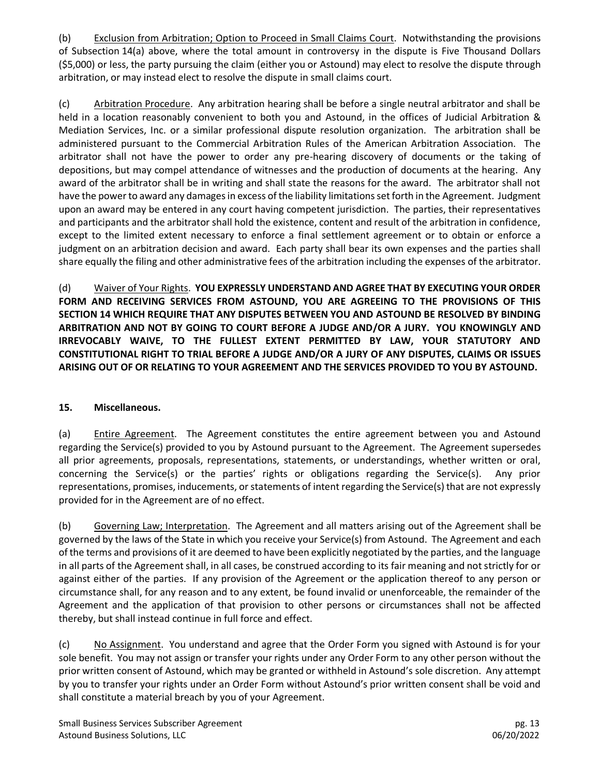(b) Exclusion from Arbitration; Option to Proceed in Small Claims Court. Notwithstanding the provisions of Subsection 14(a) above, where the total amount in controversy in the dispute is Five Thousand Dollars (\$5,000) or less, the party pursuing the claim (either you or Astound) may elect to resolve the dispute through arbitration, or may instead elect to resolve the dispute in small claims court.

(c) Arbitration Procedure. Any arbitration hearing shall be before a single neutral arbitrator and shall be held in a location reasonably convenient to both you and Astound, in the offices of Judicial Arbitration & Mediation Services, Inc. or a similar professional dispute resolution organization. The arbitration shall be administered pursuant to the Commercial Arbitration Rules of the American Arbitration Association. The arbitrator shall not have the power to order any pre-hearing discovery of documents or the taking of depositions, but may compel attendance of witnesses and the production of documents at the hearing. Any award of the arbitrator shall be in writing and shall state the reasons for the award. The arbitrator shall not have the power to award any damages in excess of the liability limitations set forth in the Agreement. Judgment upon an award may be entered in any court having competent jurisdiction. The parties, their representatives and participants and the arbitrator shall hold the existence, content and result of the arbitration in confidence, except to the limited extent necessary to enforce a final settlement agreement or to obtain or enforce a judgment on an arbitration decision and award. Each party shall bear its own expenses and the parties shall share equally the filing and other administrative fees of the arbitration including the expenses of the arbitrator.

(d) Waiver of Your Rights. **YOU EXPRESSLY UNDERSTAND AND AGREE THAT BY EXECUTING YOUR ORDER FORM AND RECEIVING SERVICES FROM ASTOUND, YOU ARE AGREEING TO THE PROVISIONS OF THIS SECTION 14 WHICH REQUIRE THAT ANY DISPUTES BETWEEN YOU AND ASTOUND BE RESOLVED BY BINDING ARBITRATION AND NOT BY GOING TO COURT BEFORE A JUDGE AND/OR A JURY. YOU KNOWINGLY AND IRREVOCABLY WAIVE, TO THE FULLEST EXTENT PERMITTED BY LAW, YOUR STATUTORY AND CONSTITUTIONAL RIGHT TO TRIAL BEFORE A JUDGE AND/OR A JURY OF ANY DISPUTES, CLAIMS OR ISSUES ARISING OUT OF OR RELATING TO YOUR AGREEMENT AND THE SERVICES PROVIDED TO YOU BY ASTOUND.** 

#### **15. Miscellaneous.**

(a) Entire Agreement. The Agreement constitutes the entire agreement between you and Astound regarding the Service(s) provided to you by Astound pursuant to the Agreement. The Agreement supersedes all prior agreements, proposals, representations, statements, or understandings, whether written or oral, concerning the Service(s) or the parties' rights or obligations regarding the Service(s). Any prior representations, promises, inducements, or statements of intent regarding the Service(s) that are not expressly provided for in the Agreement are of no effect.

(b) Governing Law; Interpretation. The Agreement and all matters arising out of the Agreement shall be governed by the laws of the State in which you receive your Service(s) from Astound. The Agreement and each of the terms and provisions of it are deemed to have been explicitly negotiated by the parties, and the language in all parts of the Agreement shall, in all cases, be construed according to its fair meaning and not strictly for or against either of the parties. If any provision of the Agreement or the application thereof to any person or circumstance shall, for any reason and to any extent, be found invalid or unenforceable, the remainder of the Agreement and the application of that provision to other persons or circumstances shall not be affected thereby, but shall instead continue in full force and effect.

(c) No Assignment. You understand and agree that the Order Form you signed with Astound is for your sole benefit. You may not assign or transfer your rights under any Order Form to any other person without the prior written consent of Astound, which may be granted or withheld in Astound's sole discretion. Any attempt by you to transfer your rights under an Order Form without Astound's prior written consent shall be void and shall constitute a material breach by you of your Agreement.